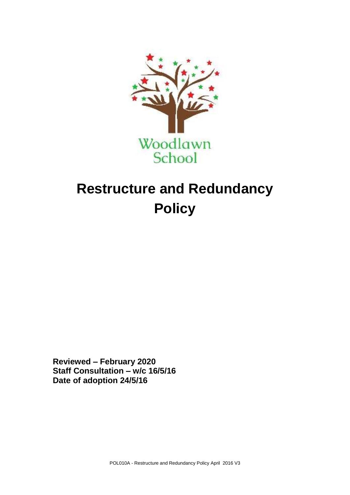

## **Restructure and Redundancy Policy**

**Reviewed – February 2020 Staff Consultation – w/c 16/5/16 Date of adoption 24/5/16**

POL010A - Restructure and Redundancy Policy April 2016 V3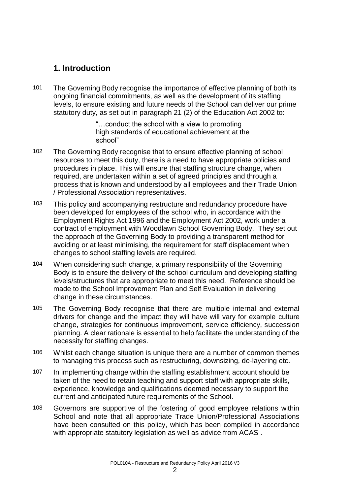## **1. Introduction**

101 The Governing Body recognise the importance of effective planning of both its ongoing financial commitments, as well as the development of its staffing levels, to ensure existing and future needs of the School can deliver our prime statutory duty, as set out in paragraph 21 (2) of the Education Act 2002 to:

> "…conduct the school with a view to promoting high standards of educational achievement at the school"

- 102 The Governing Body recognise that to ensure effective planning of school resources to meet this duty, there is a need to have appropriate policies and procedures in place. This will ensure that staffing structure change, when required, are undertaken within a set of agreed principles and through a process that is known and understood by all employees and their Trade Union / Professional Association representatives.
- 103 This policy and accompanying restructure and redundancy procedure have been developed for employees of the school who, in accordance with the Employment Rights Act 1996 and the Employment Act 2002, work under a contract of employment with Woodlawn School Governing Body. They set out the approach of the Governing Body to providing a transparent method for avoiding or at least minimising, the requirement for staff displacement when changes to school staffing levels are required.
- 104 When considering such change, a primary responsibility of the Governing Body is to ensure the delivery of the school curriculum and developing staffing levels/structures that are appropriate to meet this need. Reference should be made to the School Improvement Plan and Self Evaluation in delivering change in these circumstances.
- 105 The Governing Body recognise that there are multiple internal and external drivers for change and the impact they will have will vary for example culture change, strategies for continuous improvement, service efficiency, succession planning. A clear rationale is essential to help facilitate the understanding of the necessity for staffing changes.
- 106 Whilst each change situation is unique there are a number of common themes to managing this process such as restructuring, downsizing, de-layering etc.
- 107 In implementing change within the staffing establishment account should be taken of the need to retain teaching and support staff with appropriate skills, experience, knowledge and qualifications deemed necessary to support the current and anticipated future requirements of the School.
- 108 Governors are supportive of the fostering of good employee relations within School and note that all appropriate Trade Union/Professional Associations have been consulted on this policy, which has been compiled in accordance with appropriate statutory legislation as well as advice from ACAS .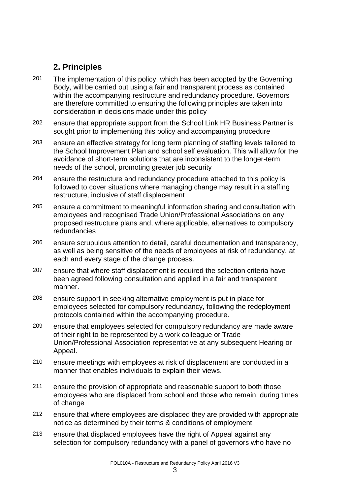## **2. Principles**

- 201 The implementation of this policy, which has been adopted by the Governing Body, will be carried out using a fair and transparent process as contained within the accompanying restructure and redundancy procedure. Governors are therefore committed to ensuring the following principles are taken into consideration in decisions made under this policy
- 202 ensure that appropriate support from the School Link HR Business Partner is sought prior to implementing this policy and accompanying procedure
- 203 ensure an effective strategy for long term planning of staffing levels tailored to the School Improvement Plan and school self evaluation. This will allow for the avoidance of short-term solutions that are inconsistent to the longer-term needs of the school, promoting greater job security
- 204 ensure the restructure and redundancy procedure attached to this policy is followed to cover situations where managing change may result in a staffing restructure, inclusive of staff displacement
- 205 ensure a commitment to meaningful information sharing and consultation with employees and recognised Trade Union/Professional Associations on any proposed restructure plans and, where applicable, alternatives to compulsory redundancies
- 206 ensure scrupulous attention to detail, careful documentation and transparency, as well as being sensitive of the needs of employees at risk of redundancy, at each and every stage of the change process.
- 207 ensure that where staff displacement is required the selection criteria have been agreed following consultation and applied in a fair and transparent manner.
- 208 ensure support in seeking alternative employment is put in place for employees selected for compulsory redundancy, following the redeployment protocols contained within the accompanying procedure.
- 209 ensure that employees selected for compulsory redundancy are made aware of their right to be represented by a work colleague or Trade Union/Professional Association representative at any subsequent Hearing or Appeal.
- 210 ensure meetings with employees at risk of displacement are conducted in a manner that enables individuals to explain their views.
- 211 ensure the provision of appropriate and reasonable support to both those employees who are displaced from school and those who remain, during times of change
- 212 ensure that where employees are displaced they are provided with appropriate notice as determined by their terms & conditions of employment
- 213 ensure that displaced employees have the right of Appeal against any selection for compulsory redundancy with a panel of governors who have no